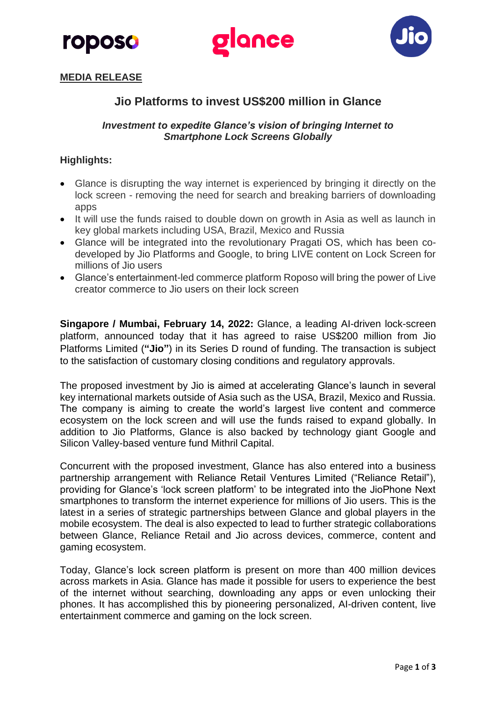





## **MEDIA RELEASE**

# **Jio Platforms to invest US\$200 million in Glance**

### *Investment to expedite Glance's vision of bringing Internet to Smartphone Lock Screens Globally*

## **Highlights:**

- Glance is disrupting the way internet is experienced by bringing it directly on the lock screen - removing the need for search and breaking barriers of downloading apps
- It will use the funds raised to double down on growth in Asia as well as launch in key global markets including USA, Brazil, Mexico and Russia
- Glance will be integrated into the revolutionary Pragati OS, which has been codeveloped by Jio Platforms and Google, to bring LIVE content on Lock Screen for millions of Jio users
- Glance's entertainment-led commerce platform Roposo will bring the power of Live creator commerce to Jio users on their lock screen

**Singapore / Mumbai, February 14, 2022:** Glance, a leading AI-driven lock-screen platform, announced today that it has agreed to raise US\$200 million from Jio Platforms Limited (**"Jio"**) in its Series D round of funding. The transaction is subject to the satisfaction of customary closing conditions and regulatory approvals.

The proposed investment by Jio is aimed at accelerating Glance's launch in several key international markets outside of Asia such as the USA, Brazil, Mexico and Russia. The company is aiming to create the world's largest live content and commerce ecosystem on the lock screen and will use the funds raised to expand globally. In addition to Jio Platforms, Glance is also backed by technology giant Google and Silicon Valley-based venture fund Mithril Capital.

Concurrent with the proposed investment, Glance has also entered into a business partnership arrangement with Reliance Retail Ventures Limited ("Reliance Retail"), providing for Glance's 'lock screen platform' to be integrated into the JioPhone Next smartphones to transform the internet experience for millions of Jio users. This is the latest in a series of strategic partnerships between Glance and global players in the mobile ecosystem. The deal is also expected to lead to further strategic collaborations between Glance, Reliance Retail and Jio across devices, commerce, content and gaming ecosystem.

Today, Glance's lock screen platform is present on more than 400 million devices across markets in Asia. Glance has made it possible for users to experience the best of the internet without searching, downloading any apps or even unlocking their phones. It has accomplished this by pioneering personalized, AI-driven content, live entertainment commerce and gaming on the lock screen.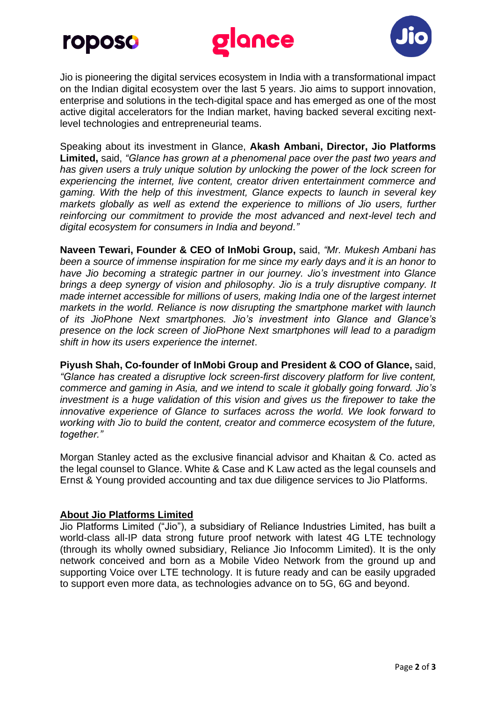





Jio is pioneering the digital services ecosystem in India with a transformational impact on the Indian digital ecosystem over the last 5 years. Jio aims to support innovation, enterprise and solutions in the tech-digital space and has emerged as one of the most active digital accelerators for the Indian market, having backed several exciting nextlevel technologies and entrepreneurial teams.

Speaking about its investment in Glance, **Akash Ambani, Director, Jio Platforms Limited,** said, *"Glance has grown at a phenomenal pace over the past two years and has given users a truly unique solution by unlocking the power of the lock screen for experiencing the internet, live content, creator driven entertainment commerce and gaming. With the help of this investment, Glance expects to launch in several key markets globally as well as extend the experience to millions of Jio users, further reinforcing our commitment to provide the most advanced and next-level tech and digital ecosystem for consumers in India and beyond."*

**Naveen Tewari, Founder & CEO of InMobi Group,** said, *"Mr. Mukesh Ambani has been a source of immense inspiration for me since my early days and it is an honor to have Jio becoming a strategic partner in our journey. Jio's investment into Glance brings a deep synergy of vision and philosophy. Jio is a truly disruptive company. It made internet accessible for millions of users, making India one of the largest internet markets in the world. Reliance is now disrupting the smartphone market with launch of its JioPhone Next smartphones. Jio's investment into Glance and Glance's presence on the lock screen of JioPhone Next smartphones will lead to a paradigm shift in how its users experience the internet*.

**Piyush Shah, Co-founder of InMobi Group and President & COO of Glance,** said, *"Glance has created a disruptive lock screen-first discovery platform for live content, commerce and gaming in Asia, and we intend to scale it globally going forward. Jio's investment is a huge validation of this vision and gives us the firepower to take the innovative experience of Glance to surfaces across the world. We look forward to working with Jio to build the content, creator and commerce ecosystem of the future, together."*

Morgan Stanley acted as the exclusive financial advisor and Khaitan & Co. acted as the legal counsel to Glance. White & Case and K Law acted as the legal counsels and Ernst & Young provided accounting and tax due diligence services to Jio Platforms.

#### **About Jio Platforms Limited**

Jio Platforms Limited ("Jio"), a subsidiary of Reliance Industries Limited, has built a world-class all-IP data strong future proof network with latest 4G LTE technology (through its wholly owned subsidiary, Reliance Jio Infocomm Limited). It is the only network conceived and born as a Mobile Video Network from the ground up and supporting Voice over LTE technology. It is future ready and can be easily upgraded to support even more data, as technologies advance on to 5G, 6G and beyond.